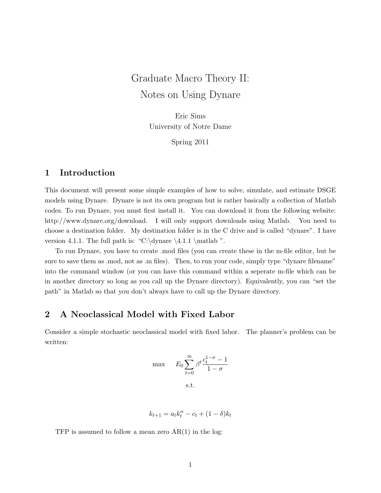# Graduate Macro Theory II: Notes on Using Dynare

Eric Sims University of Notre Dame

Spring 2011

### 1 Introduction

This document will present some simple examples of how to solve, simulate, and estimate DSGE models using Dynare. Dynare is not its own program but is rather basically a collection of Matlab codes. To run Dynare, you must first install it. You can download it from the following website: http://www.dynare.org/download. I will only support downloads using Matlab. You need to choose a destination folder. My destination folder is in the C drive and is called "dynare". I have version 4.1.1. The full path is: "C:\dynare \4.1.1 \matlab".

To run Dynare, you have to create .mod files (you can create these in the m-file editor, but be sure to save them as .mod, not as .m files). Then, to run your code, simply type "dynare filename" into the command window (or you can have this command within a seperate m-file which can be in another directory so long as you call up the Dynare directory). Equivalently, you can "set the path" in Matlab so that you don't always have to call up the Dynare directory.

#### 2 A Neoclassical Model with Fixed Labor

Consider a simple stochastic neoclassical model with fixed labor. The planner's problem can be written:

$$
\max \t E_0 \sum_{t=0}^{\infty} \beta^t \frac{c_t^{1-\sigma} - 1}{1 - \sigma}
$$
  
s.t.

$$
k_{t+1} = a_t k_t^{\alpha} - c_t + (1 - \delta) k_t
$$

TFP is assumed to follow a mean zero  $AR(1)$  in the log: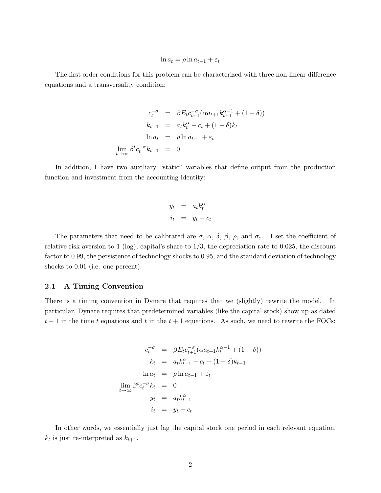$$
\ln a_t = \rho \ln a_{t-1} + \varepsilon_t
$$

The first order conditions for this problem can be characterized with three non-linear difference equations and a transversality condition:

$$
c_t^{-\sigma} = \beta E_t c_{t+1}^{-\sigma} (\alpha a_{t+1} k_{t+1}^{\alpha - 1} + (1 - \delta))
$$
  
\n
$$
k_{t+1} = a_t k_t^{\alpha} - c_t + (1 - \delta) k_t
$$
  
\n
$$
\ln a_t = \rho \ln a_{t-1} + \varepsilon_t
$$
  
\n
$$
\lim_{t \to \infty} \beta^t c_t^{-\sigma} k_{t+1} = 0
$$

In addition, I have two auxiliary "static" variables that define output from the production function and investment from the accounting identity:

$$
y_t = a_t k_t^{\alpha}
$$
  

$$
i_t = y_t - c_t
$$

The parameters that need to be calibrated are  $\sigma$ ,  $\alpha$ ,  $\delta$ ,  $\beta$ ,  $\rho$ , and  $\sigma_{\varepsilon}$ . I set the coefficient of relative risk aversion to 1 (log), capital's share to  $1/3$ , the depreciation rate to 0.025, the discount factor to 0.99, the persistence of technology shocks to 0.95, and the standard deviation of technology shocks to 0.01 (i.e. one percent).

#### 2.1 A Timing Convention

There is a timing convention in Dynare that requires that we (slightly) rewrite the model. In particular, Dynare requires that predetermined variables (like the capital stock) show up as dated  $t-1$  in the time t equations and t in the  $t+1$  equations. As such, we need to rewrite the FOCs:

$$
c_t^{-\sigma} = \beta E_t c_{t+1}^{-\sigma} (\alpha a_{t+1} k_t^{\alpha-1} + (1 - \delta))
$$
  
\n
$$
k_t = a_t k_{t-1}^{\alpha} - c_t + (1 - \delta) k_{t-1}
$$
  
\n
$$
\ln a_t = \rho \ln a_{t-1} + \varepsilon_t
$$
  
\n
$$
\lim_{t \to \infty} \beta^t c_t^{-\sigma} k_t = 0
$$
  
\n
$$
y_t = a_t k_{t-1}^{\alpha}
$$
  
\n
$$
i_t = y_t - c_t
$$

In other words, we essentially just lag the capital stock one period in each relevant equation.  $k_t$  is just re-interpreted as  $k_{t+1}$ .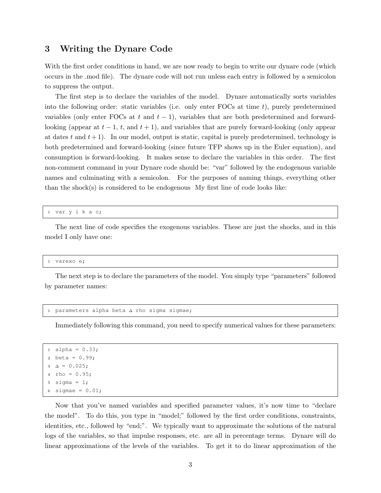#### 3 Writing the Dynare Code

With the first order conditions in hand, we are now ready to begin to write our dynare code (which occurs in the .mod file). The dynare code will not run unless each entry is followed by a semicolon to suppress the output.

The first step is to declare the variables of the model. Dynare automatically sorts variables into the following order: static variables (i.e. only enter FOCs at time  $t$ ), purely predetermined variables (only enter FOCs at t and  $t - 1$ ), variables that are both predetermined and forwardlooking (appear at  $t - 1$ , t, and  $t + 1$ ), and variables that are purely forward-looking (only appear at dates t and  $t + 1$ . In our model, output is static, capital is purely predetermined, technology is both predetermined and forward-looking (since future TFP shows up in the Euler equation), and consumption is forward-looking. It makes sense to declare the variables in this order. The first non-comment command in your Dynare code should be: "var" followed by the endogenous variable names and culminating with a semicolon. For the purposes of naming things, everything other than the shock $(s)$  is considered to be endogenous My first line of code looks like:

var y i k a c;

The next line of code specifies the exogenous variables. These are just the shocks, and in this model I only have one:

<sup>1</sup> varexo e;

The next step is to declare the parameters of the model. You simply type "parameters" followed by parameter names:

<sup>1</sup> parameters alpha beta <sup>∆</sup> rho sigma sigmae;

Immediately following this command, you need to specify numerical values for these parameters:

```
1 alpha = 0.33;
2 beta = 0.99;
3 \Delta = 0.025;
4 rho = 0.95;
  sigma = 1;6 sigmae = 0.01;
```
Now that you've named variables and specified parameter values, it's now time to "declare the model". To do this, you type in "model;" followed by the first order conditions, constraints, identities, etc., followed by "end;". We typically want to approximate the solutions of the natural logs of the variables, so that impulse responses, etc. are all in percentage terms. Dynare will do linear approximations of the levels of the variables. To get it to do linear approximation of the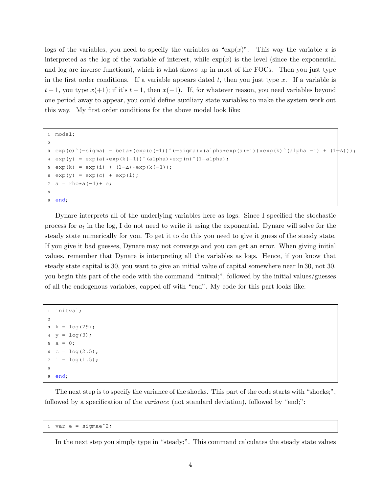logs of the variables, you need to specify the variables as " $\exp(x)$ ". This way the variable x is interpreted as the log of the variable of interest, while  $exp(x)$  is the level (since the exponential and log are inverse functions), which is what shows up in most of the FOCs. Then you just type in the first order conditions. If a variable appears dated  $t$ , then you just type  $x$ . If a variable is  $t+1$ , you type  $x(+1)$ ; if it's  $t-1$ , then  $x(-1)$ . If, for whatever reason, you need variables beyond one period away to appear, you could define auxiliary state variables to make the system work out this way. My first order conditions for the above model look like:

```
1 model;
\overline{2}3 \exp(c)(-\text{sigma}) = \text{beta} * (\exp(c+1))^c(-\text{sigma}) * (\text{alpha} * \exp(a+1)) * \exp(k)^(\text{alpha} -1) + (1+\Delta));
4 \exp(y) = \exp(a) * \exp(k(-1))^(alpha)*exp(n)^(1-alpha);
5 exp(k) = exp(i) + (1-\Delta) * exp(k(-1));
 exp(y) = exp(c) + exp(i);7 a = rho*a(-1) + ej8
9 end;
```
Dynare interprets all of the underlying variables here as logs. Since I specified the stochastic process for  $a_t$  in the log, I do not need to write it using the exponential. Dynare will solve for the steady state numerically for you. To get it to do this you need to give it guess of the steady state. If you give it bad guesses, Dynare may not converge and you can get an error. When giving initial values, remember that Dynare is interpreting all the variables as logs. Hence, if you know that steady state capital is 30, you want to give an initial value of capital somewhere near ln 30, not 30. you begin this part of the code with the command "initval;", followed by the initial values/guesses of all the endogenous variables, capped off with "end". My code for this part looks like:

```
1 initval;
2
3 k = log(29);
  y = log(3);a = 0;6 c = \log(2.5);
  i = log(1.5);8
9 end;
```
The next step is to specify the variance of the shocks. This part of the code starts with "shocks;", followed by a specification of the variance (not standard deviation), followed by "end;":

1 var e = sigmae $2$ ;

In the next step you simply type in "steady;". This command calculates the steady state values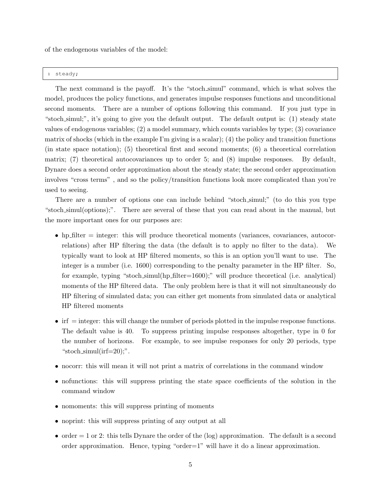of the endogenous variables of the model:

<sup>1</sup> steady;

The next command is the payoff. It's the "stoch simul" command, which is what solves the model, produces the policy functions, and generates impulse responses functions and unconditional second moments. There are a number of options following this command. If you just type in "stoch simul;", it's going to give you the default output. The default output is: (1) steady state values of endogenous variables; (2) a model summary, which counts variables by type; (3) covariance matrix of shocks (which in the example I'm giving is a scalar); (4) the policy and transition functions (in state space notation); (5) theoretical first and second moments; (6) a theoretical correlation matrix; (7) theoretical autocovariances up to order 5; and (8) impulse responses. By default, Dynare does a second order approximation about the steady state; the second order approximation involves "cross terms" , and so the policy/transition functions look more complicated than you're used to seeing.

There are a number of options one can include behind "stoch simul;" (to do this you type "stoch simul(options);". There are several of these that you can read about in the manual, but the more important ones for our purposes are:

- hp filter = integer: this will produce theoretical moments (variances, covariances, autocorrelations) after HP filtering the data (the default is to apply no filter to the data). We typically want to look at HP filtered moments, so this is an option you'll want to use. The integer is a number (i.e. 1600) corresponding to the penalty parameter in the HP filter. So, for example, typing "stoch simul(hp filter=1600);" will produce theoretical (i.e. analytical) moments of the HP filtered data. The only problem here is that it will not simultaneously do HP filtering of simulated data; you can either get moments from simulated data or analytical HP filtered moments
- $\bullet$  irf  $=$  integer: this will change the number of periods plotted in the impulse response functions. The default value is 40. To suppress printing impulse responses altogether, type in 0 for the number of horizons. For example, to see impulse responses for only 20 periods, type "stoch\_simul(irf=20);".
- nocorr: this will mean it will not print a matrix of correlations in the command window
- nofunctions: this will suppress printing the state space coefficients of the solution in the command window
- nomoments: this will suppress printing of moments
- noprint: this will suppress printing of any output at all
- order  $= 1$  or 2: this tells Dynare the order of the (log) approximation. The default is a second order approximation. Hence, typing "order=1" will have it do a linear approximation.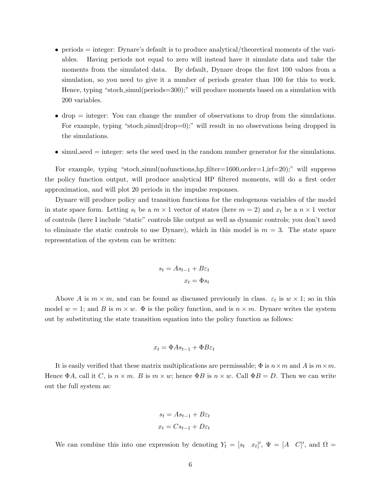- periods = integer: Dynare's default is to produce analytical/theoretical moments of the variables. Having periods not equal to zero will instead have it simulate data and take the moments from the simulated data. By default, Dynare drops the first 100 values from a simulation, so you need to give it a number of periods greater than 100 for this to work. Hence, typing "stoch simul(periods=300);" will produce moments based on a simulation with 200 variables.
- drop = integer: You can change the number of observations to drop from the simulations. For example, typing "stoch simul(drop=0);" will result in no observations being dropped in the simulations.
- $\bullet$  simul seed = integer: sets the seed used in the random number generator for the simulations.

For example, typing "stoch\_simul(nofunctions,hp\_filter=1600,order=1,irf=20);" will suppress the policy function output, will produce analytical HP filtered moments, will do a first order approximation, and will plot 20 periods in the impulse responses.

Dynare will produce policy and transition functions for the endogenous variables of the model in state space form. Letting  $s_t$  be a  $m \times 1$  vector of states (here  $m = 2$ ) and  $x_t$  be a  $n \times 1$  vector of controls (here I include "static" controls like output as well as dynamic controls; you don't need to eliminate the static controls to use Dynare), which in this model is  $m = 3$ . The state space representation of the system can be written:

$$
s_t = As_{t-1} + B\varepsilon_t
$$

$$
x_t = \Phi s_t
$$

Above A is  $m \times m$ , and can be found as discussed previously in class.  $\varepsilon_t$  is  $w \times 1$ ; so in this model  $w = 1$ ; and B is  $m \times w$ .  $\Phi$  is the policy function, and is  $n \times m$ . Dynare writes the system out by substituting the state transition equation into the policy function as follows:

$$
x_t = \Phi A s_{t-1} + \Phi B \varepsilon_t
$$

It is easily verified that these matrix multiplications are permissable;  $\Phi$  is  $n \times m$  and A is  $m \times m$ . Hence  $\Phi A$ , call it C, is  $n \times m$ . B is  $m \times w$ ; hence  $\Phi B$  is  $n \times w$ . Call  $\Phi B = D$ . Then we can write out the full system as:

$$
s_t = As_{t-1} + B\varepsilon_t
$$

$$
x_t = Cs_{t-1} + D\varepsilon_t
$$

We can combine this into one expression by denoting  $Y_t = [s_t \ x_t]'$ ,  $\Psi = [A \ C]'$ , and  $\Omega =$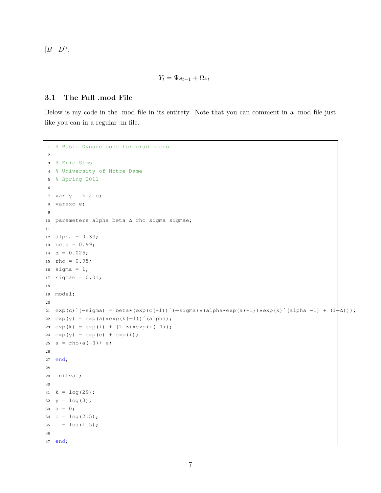$[B \quad D]'$ :

$$
Y_t = \Psi s_{t-1} + \Omega \varepsilon_t
$$

#### 3.1 The Full .mod File

Below is my code in the .mod file in its entirety. Note that you can comment in a .mod file just like you can in a regular .m file.

```
1 % Basic Dynare code for grad macro
2
3 % Eric Sims
4 % University of Notre Dame
5 % Spring 2011
6
7 var y i k a c;
8 varexo e;
9
10 parameters alpha beta ∆ rho sigma sigmae;
11
12 alpha = 0.33;
13 beta = 0.99;
14 \Delta = 0.025;
15 rho = 0.95;16 sigma = 1;17 sigmae = 0.01;
18
19 model;
20
21 exp(c)^(-sigma) = beta*(exp(c(+1))^(-sigma)*(alpha*exp(a(+1))*exp(k)^(alpha -1) + (1+∆)));
22 exp(y) = exp(a) * exp(k(-1))^ (alpha);23 exp(k) = exp(i) + (1-\Delta) * exp(k(-1));
24 exp(y) = exp(c) + exp(i);25 a = rho*a(-1)+ e;
26
27 end;
28
29 initval;
30
31 \text{ k} = \log(29);
32 y = log(3);
33 a = 0;34 c = \log(2.5);
35 i = \log(1.5);
36
37 end;
```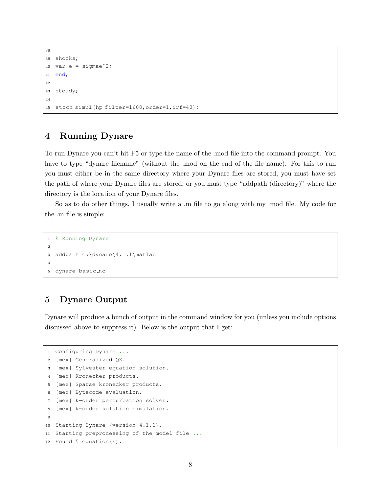```
38
39 shocks;
40 var e = sigmaeˆ2;
41 end;
42
43 steady;
44
45 stoch simul(hp filter=1600,order=1,irf=40);
```
#### 4 Running Dynare

To run Dynare you can't hit F5 or type the name of the .mod file into the command prompt. You have to type "dynare filename" (without the .mod on the end of the file name). For this to run you must either be in the same directory where your Dynare files are stored, you must have set the path of where your Dynare files are stored, or you must type "addpath (directory)" where the directory is the location of your Dynare files.

So as to do other things, I usually write a .m file to go along with my .mod file. My code for the .m file is simple:

```
1 % Running Dynare
2
3 addpath c:\dynare\4.1.1\matlab
4
5 dynare basic nc
```
## 5 Dynare Output

Dynare will produce a bunch of output in the command window for you (unless you include options discussed above to suppress it). Below is the output that I get:

```
1 Configuring Dynare ...
2 [mex] Generalized QZ.
3 [mex] Sylvester equation solution.
4 [mex] Kronecker products.
5 [mex] Sparse kronecker products.
6 [mex] Bytecode evaluation.
7 [mex] k−order perturbation solver.
8 [mex] k−order solution simulation.
9
10 Starting Dynare (version 4.1.1).
11 Starting preprocessing of the model file ...
12 Found 5 equation(s).
```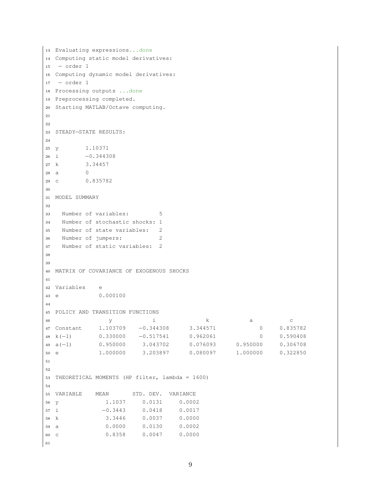```
13 Evaluating expressions...done
14 Computing static model derivatives:
15 − order 1
16 Computing dynamic model derivatives:
17 − order 1
18 Processing outputs ...done
19 Preprocessing completed.
20 Starting MATLAB/Octave computing.
21
22
23 STEADY−STATE RESULTS:
24
25 y 1.10371
26 i −0.344308
27 k 3.34457
28 a 0
29 c 0.835782
30
31 MODEL SUMMARY
32
33 Number of variables: 5
34 Number of stochastic shocks: 1
35 Number of state variables: 2
36 Number of jumpers: 2
37 Number of static variables: 2
38
39
40 MATRIX OF COVARIANCE OF EXOGENOUS SHOCKS
41
42 Variables e
43 e 0.000100
44
45 POLICY AND TRANSITION FUNCTIONS
46 y i k a c
47 Constant 1.103709 −0.344308 3.344571 0 0.835782
48 k(−1) 0.330000 −0.517541 0.962061 0 0.590408
49 a(−1) 0.950000 3.043702 0.076093 0.950000 0.306708
50 e 1.000000 3.203897 0.080097 1.000000 0.322850
51
52
53 THEORETICAL MOMENTS (HP filter, lambda = 1600)
54
55 VARIABLE MEAN STD. DEV. VARIANCE
56 y 1.1037 0.0131 0.0002
57 i −0.3443 0.0418 0.0017
58 k 3.3446 0.0037 0.0000
59 a 0.0000 0.0130 0.0002
60 c 0.8358 0.0047 0.0000
61
```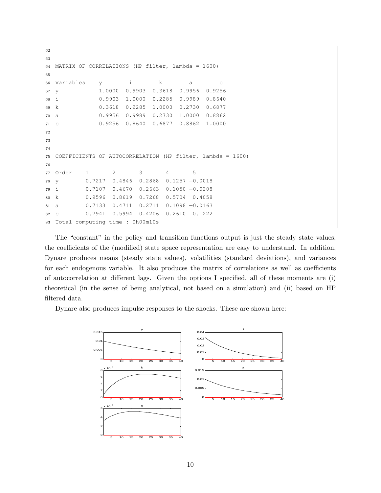```
62
63
64 MATRIX OF CORRELATIONS (HP filter, lambda = 1600)
65
66 Variables y i k a c
67 y 1.0000 0.9903 0.3618 0.9956 0.9256
68 i 0.9903 1.0000 0.2285 0.9989 0.8640
69 k 0.3618 0.2285 1.0000 0.2730 0.6877
70 a 0.9956 0.9989 0.2730 1.0000 0.8862
71 c 0.9256 0.8640 0.6877 0.8862 1.0000
72
73
74
75 COEFFICIENTS OF AUTOCORRELATION (HP filter, lambda = 1600)
76
77 Order 1 2 3 4 5
78 y 0.7217 0.4846 0.2868 0.1257 −0.0018
79 i 0.7107 0.4670 0.2663 0.1050 −0.0208
80 k 0.9596 0.8619 0.7268 0.5704 0.4058
81 a 0.7133 0.4711 0.2711 0.1098 −0.0163
82 c 0.7941 0.5994 0.4206 0.2610 0.1222
83 Total computing time : 0h00m10s
```
The "constant" in the policy and transition functions output is just the steady state values; the coefficients of the (modified) state space representation are easy to understand. In addition, Dynare produces means (steady state values), volatilities (standard deviations), and variances for each endogenous variable. It also produces the matrix of correlations as well as coefficients of autocorrelation at different lags. Given the options I specified, all of these moments are (i) theoretical (in the sense of being analytical, not based on a simulation) and (ii) based on HP filtered data.

Dynare also produces impulse responses to the shocks. These are shown here:

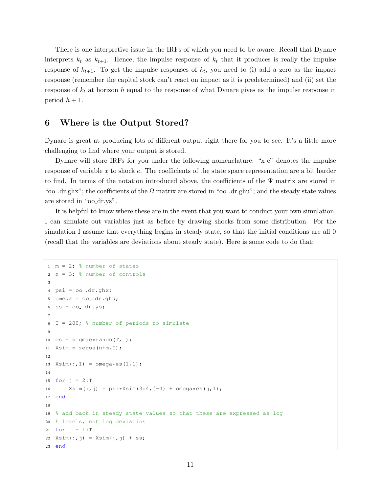There is one interpretive issue in the IRFs of which you need to be aware. Recall that Dynare interprets  $k_t$  as  $k_{t+1}$ . Hence, the impulse response of  $k_t$  that it produces is really the impulse response of  $k_{t+1}$ . To get the impulse responses of  $k_t$ , you need to (i) add a zero as the impact response (remember the capital stock can't react on impact as it is predetermined) and (ii) set the response of  $k_t$  at horizon h equal to the response of what Dynare gives as the impulse response in period  $h + 1$ .

#### 6 Where is the Output Stored?

Dynare is great at producing lots of different output right there for you to see. It's a little more challenging to find where your output is stored.

Dynare will store IRFs for you under the following nomenclature: "x<sub>e</sub>" denotes the impulse response of variable x to shock e. The coefficients of the state space representation are a bit harder to find. In terms of the notation introduced above, the coefficients of the Ψ matrix are stored in "oo\_dr.ghx"; the coefficients of the  $\Omega$  matrix are stored in "oo\_dr.ghu"; and the steady state values are stored in "oo dr.ys".

It is helpful to know where these are in the event that you want to conduct your own simulation. I can simulate out variables just as before by drawing shocks from some distribution. For the simulation I assume that everything begins in steady state, so that the initial conditions are all 0 (recall that the variables are deviations about steady state). Here is some code to do that:

```
1 \text{ m} = 2; % number of states
2 n = 3; % number of controls
3
4 psi = oo.dr.ghx;
5 omega = oo-.dr.ghu;
6 ss = 00...dr.ys;7
8 T = 200; % number of periods to simulate
\alpha10 es = sigmae*randn(T, 1);
11 Xsim = zeros(n+m, T);12
13 Xsim(:,1) = omega*es(1,1);14
15 for j = 2:T16 X \sin(:,j) = \psi X \sin(3:4, j-1) + \omega \cos(\psi);
17 end
18
19 % add back in steady state values so that these are expressed as log
20 % levels, not log deviatins
21 for j = 1:T22 Xsim(:,j) = Xsim(:,j) + ss;
23 end
```